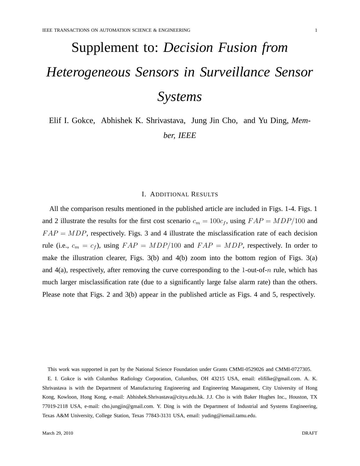# Supplement to: *Decision Fusion from Heterogeneous Sensors in Surveillance Sensor Systems*

Elif I. Gokce, Abhishek K. Shrivastava, Jung Jin Cho, and Yu Ding, *Member, IEEE*

### I. ADDITIONAL RESULTS

All the comparison results mentioned in the published article are included in Figs. 1-4. Figs. 1 and 2 illustrate the results for the first cost scenario  $c_m = 100c_f$ , using  $FAP = MDP/100$  and  $FAP = MDP$ , respectively. Figs. 3 and 4 illustrate the misclassification rate of each decision rule (i.e.,  $c_m = c_f$ ), using  $FAP = MDP/100$  and  $FAP = MDP$ , respectively. In order to make the illustration clearer, Figs. 3(b) and 4(b) zoom into the bottom region of Figs. 3(a) and  $4(a)$ , respectively, after removing the curve corresponding to the 1-out-of-n rule, which has much larger misclassification rate (due to a significantly large false alarm rate) than the others. Please note that Figs. 2 and 3(b) appear in the published article as Figs. 4 and 5, respectively.

This work was supported in part by the National Science Foundation under Grants CMMI-0529026 and CMMI-0727305.

E. I. Gokce is with Columbus Radiology Corporation, Columbus, OH 43215 USA, email: elifilke@gmail.com. A. K. Shrivastava is with the Department of Manufacturing Engineering and Engineering Managament, City University of Hong Kong, Kowloon, Hong Kong, e-mail: Abhishek.Shrivastava@cityu.edu.hk. J.J. Cho is with Baker Hughes Inc., Houston, TX 77019-2118 USA, e-mail: cho.jungjin@gmail.com. Y. Ding is with the Department of Industrial and Systems Engineering, Texas A&M University, College Station, Texas 77843-3131 USA, email: yuding@iemail.tamu.edu.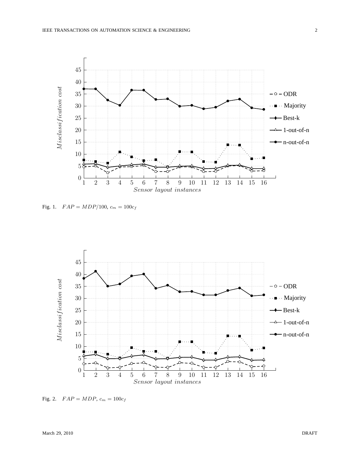

Fig. 1.  $FAP = MDP/100$ ,  $c_m = 100c_f$ 



Fig. 2.  $FAP = MDP$ ,  $c_m = 100c_f$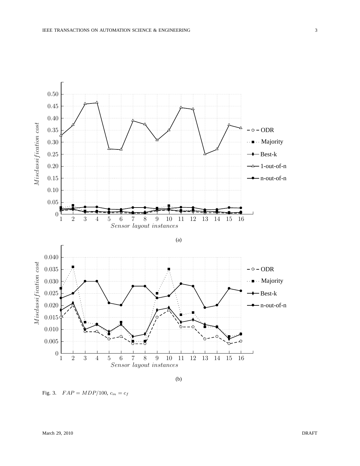

Fig. 3.  $FAP = MDP/100, c_m = c_f$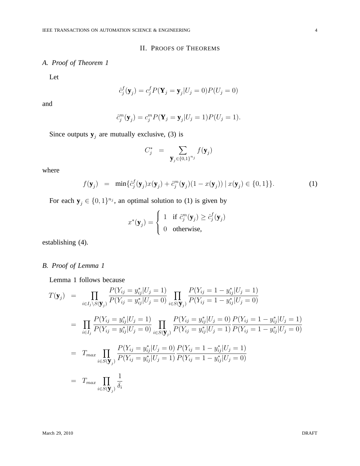#### II. PROOFS OF THEOREMS

## *A. Proof of Theorem 1*

Let

$$
\hat{c}_j^f(\mathbf{y}_j) = c_j^f P(\mathbf{Y}_j = \mathbf{y}_j | U_j = 0) P(U_j = 0)
$$

and

$$
\hat{c}_j^m(\mathbf{y}_j) = c_j^m P(\mathbf{Y}_j = \mathbf{y}_j | U_j = 1) P(U_j = 1).
$$

Since outputs  $y_j$  are mutually exclusive, (3) is

$$
C_j^* = \sum_{\mathbf{y}_j \in \{0,1\}^{n_j}} f(\mathbf{y}_j)
$$

where

$$
f(\mathbf{y}_j) = \min \{ \hat{c}_j^f(\mathbf{y}_j) x(\mathbf{y}_j) + \hat{c}_j^m(\mathbf{y}_j) (1 - x(\mathbf{y}_j)) \mid x(\mathbf{y}_j) \in \{0, 1\} \}.
$$
 (1)

For each  $y_j \in \{0,1\}^{n_j}$ , an optimal solution to (1) is given by

$$
x^*(\mathbf{y}_j) = \begin{cases} 1 & \text{if } \hat{c}_j^m(\mathbf{y}_j) \ge \hat{c}_j^f(\mathbf{y}_j) \\ 0 & \text{otherwise,} \end{cases}
$$

establishing (4).

## *B. Proof of Lemma 1*

Lemma 1 follows because

$$
T(\mathbf{y}_j) = \prod_{i \in I_j \setminus S(\mathbf{y}_j)} \frac{P(Y_{ij} = y_{ij}^* | U_j = 1)}{P(Y_{ij} = y_{ij}^* | U_j = 0)} \prod_{i \in S(\mathbf{y}_j)} \frac{P(Y_{ij} = 1 - y_{ij}^* | U_j = 1)}{P(Y_{ij} = 1 - y_{ij}^* | U_j = 0)}
$$
  
\n
$$
= \prod_{i \in I_j} \frac{P(Y_{ij} = y_{ij}^* | U_j = 1)}{P(Y_{ij} = y_{ij}^* | U_j = 0)} \prod_{i \in S(\mathbf{y}_j)} \frac{P(Y_{ij} = y_{ij}^* | U_j = 0)}{P(Y_{ij} = y_{ij}^* | U_j = 1)} \frac{P(Y_{ij} = 1 - y_{ij}^* | U_j = 1)}{P(Y_{ij} = 1 - y_{ij}^* | U_j = 0)}
$$
  
\n
$$
= T_{max} \prod_{i \in S(\mathbf{y}_j)} \frac{P(Y_{ij} = y_{ij}^* | U_j = 0)}{P(Y_{ij} = 1)} \frac{P(Y_{ij} = 1 - y_{ij}^* | U_j = 1)}{P(Y_{ij} = 1 - y_{ij}^* | U_j = 0)}
$$
  
\n
$$
= T_{max} \prod_{i \in S(\mathbf{y}_j)} \frac{1}{\delta_i}
$$